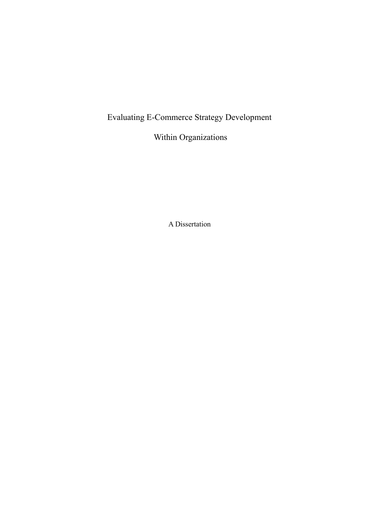## Evaluating E-Commerce Strategy Development

Within Organizations

A Dissertation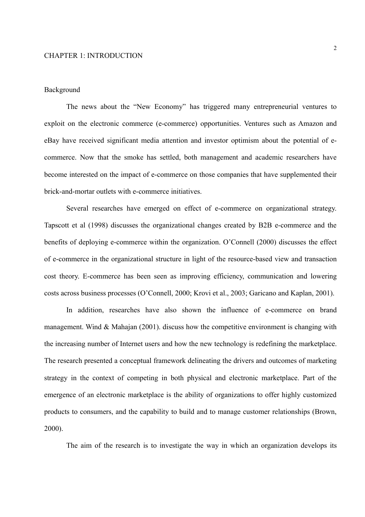## Background

The news about the "New Economy" has triggered many entrepreneurial ventures to exploit on the electronic commerce (e-commerce) opportunities. Ventures such as Amazon and eBay have received significant media attention and investor optimism about the potential of ecommerce. Now that the smoke has settled, both management and academic researchers have become interested on the impact of e-commerce on those companies that have supplemented their brick-and-mortar outlets with e-commerce initiatives.

Several researches have emerged on effect of e-commerce on organizational strategy. Tapscott et al (1998) discusses the organizational changes created by B2B e-commerce and the benefits of deploying e-commerce within the organization. O'Connell (2000) discusses the effect of e-commerce in the organizational structure in light of the resource-based view and transaction cost theory. E-commerce has been seen as improving efficiency, communication and lowering costs across business processes (O'Connell, 2000; Krovi et al., 2003; Garicano and Kaplan, 2001).

In addition, researches have also shown the influence of e-commerce on brand management. Wind & Mahajan (2001). discuss how the competitive environment is changing with the increasing number of Internet users and how the new technology is redefining the marketplace. The research presented a conceptual framework delineating the drivers and outcomes of marketing strategy in the context of competing in both physical and electronic marketplace. Part of the emergence of an electronic marketplace is the ability of organizations to offer highly customized products to consumers, and the capability to build and to manage customer relationships (Brown, 2000).

The aim of the research is to investigate the way in which an organization develops its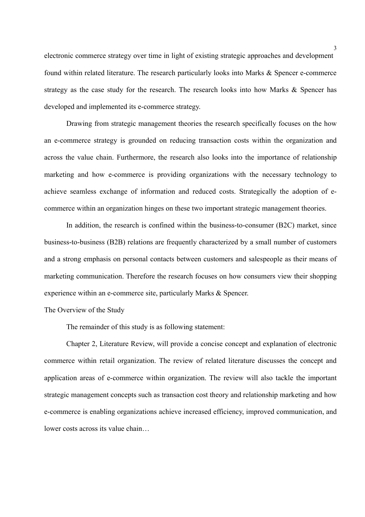electronic commerce strategy over time in light of existing strategic approaches and development found within related literature. The research particularly looks into Marks & Spencer e-commerce strategy as the case study for the research. The research looks into how Marks & Spencer has developed and implemented its e-commerce strategy.

Drawing from strategic management theories the research specifically focuses on the how an e-commerce strategy is grounded on reducing transaction costs within the organization and across the value chain. Furthermore, the research also looks into the importance of relationship marketing and how e-commerce is providing organizations with the necessary technology to achieve seamless exchange of information and reduced costs. Strategically the adoption of ecommerce within an organization hinges on these two important strategic management theories.

In addition, the research is confined within the business-to-consumer (B2C) market, since business-to-business (B2B) relations are frequently characterized by a small number of customers and a strong emphasis on personal contacts between customers and salespeople as their means of marketing communication. Therefore the research focuses on how consumers view their shopping experience within an e-commerce site, particularly Marks & Spencer.

The Overview of the Study

The remainder of this study is as following statement:

Chapter 2, Literature Review, will provide a concise concept and explanation of electronic commerce within retail organization. The review of related literature discusses the concept and application areas of e-commerce within organization. The review will also tackle the important strategic management concepts such as transaction cost theory and relationship marketing and how e-commerce is enabling organizations achieve increased efficiency, improved communication, and lower costs across its value chain